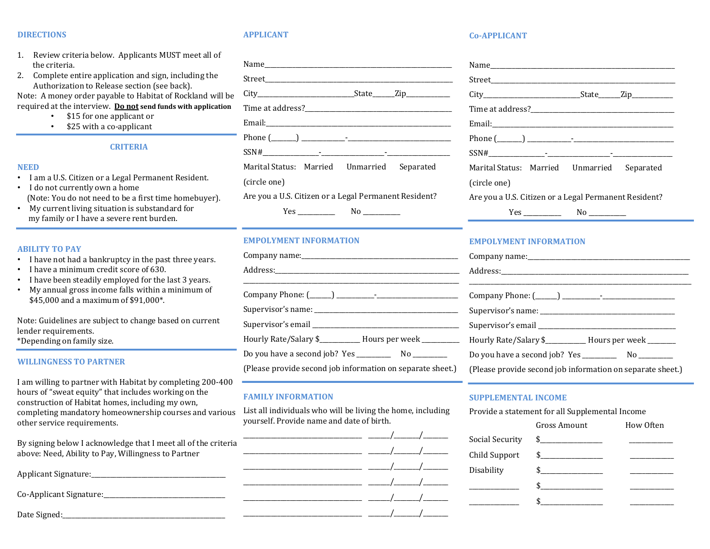#### DIRECTIONS

#### APPLICANT

- the criteria.
- Authorization to Release section (see back).

- \$15 for one applicant or
- \$25 with a co-applicant

### CRITERIA

#### NEED

- I am a U.S. Citizen or a Legal Permanent Resident.
- I do not currently own a home (Note: You do not need to be a first time homebuyer).
- My current living situation is substandard for my family or I have a severe rent burden.

#### ABILITY TO PAY

- I have not had a bankruptcy in the past three years.
- I have a minimum credit score of 630.
- I have been steadily employed for the last 3 years.
- My annual gross income falls within a minimum of \$45,000 and a maximum of \$91,000\*.

Note: Guidelines are subject to change based on current lender requirements.

\*Depending on family size.

#### WILLINGNESS TO PARTNER

I am willing to partner with Habitat by completing 200-400 hours of "sweat equity" that includes working on the construction of Habitat homes, including my own, completing mandatory homeownership courses and various other service requirements.

By signing below I acknowledge that I meet all of the criteria above: Need, Ability to Pay, Willingness to Partner

| Applicant Signature:    |  |
|-------------------------|--|
| Co-Applicant Signature: |  |
| Date Signed:_           |  |

| <b>DIRECTIONS</b>                                                                                         | <b>APPLICANT</b>                                  | <b>Co-APPLICANT</b>                                                    |
|-----------------------------------------------------------------------------------------------------------|---------------------------------------------------|------------------------------------------------------------------------|
| 1. Review criteria below. Applicants MUST meet all of                                                     |                                                   |                                                                        |
| the criteria.                                                                                             | Name Name                                         | Name                                                                   |
| Complete entire application and sign, including the<br>2.<br>Authorization to Release section (see back). |                                                   |                                                                        |
| Note: A money order payable to Habitat of Rockland will be                                                |                                                   |                                                                        |
| required at the interview. Do not send funds with application<br>\$15 for one applicant or<br>$\bullet$   |                                                   |                                                                        |
| \$25 with a co-applicant                                                                                  |                                                   | Email:<br><u> 1980 - James James Barnett, fransk politik (d. 1980)</u> |
|                                                                                                           |                                                   | Phone $(\_\_\_\_\$                                                     |
| <b>CRITERIA</b>                                                                                           | $SSN#$ $\qquad \qquad$                            | $SSN#$ -                                                               |
| <b>NEED</b>                                                                                               | Marital Status: Married<br>Separated<br>Unmarried | Marital Status: Married<br>Unma                                        |
|                                                                                                           |                                                   |                                                                        |
| · I am a U.S. Citizen or a Legal Permanent Resident.<br>$\cdot$ I do not currently own a home             | (circle one)                                      | (circle one)                                                           |

Are you a U.S. Citizen or a Legal Permanent Resident?

#### EMPOLYMENT INFORMATION

|                                                                                      | Company name:              |
|--------------------------------------------------------------------------------------|----------------------------|
|                                                                                      |                            |
|                                                                                      | Company Phone: (_____)     |
|                                                                                      | Supervisor's name: ______  |
|                                                                                      | Supervisor's email _______ |
| Hourly Rate/Salary \$__________ Hours per week ___________ Hourly Rate/Salary \$____ |                            |
|                                                                                      | Do you have a second job?  |
| (Please provide second job information on separate sheet.)                           | (Please provide second job |

#### FAMILY INFORMATION

List all individuals who will be living the home, including yourself. Provide name and date of birth.

|  | Social Security | $\frac{1}{2}$ |
|--|-----------------|---------------|
|  | Child Support   | $\frac{1}{2}$ |
|  | Disability      |               |
|  |                 |               |
|  |                 |               |
|  |                 |               |

#### Co-APPLICANT

|              |            | $City$ $City$ $State$ $Zip$                           |  |
|--------------|------------|-------------------------------------------------------|--|
|              |            |                                                       |  |
|              |            |                                                       |  |
|              |            |                                                       |  |
|              |            |                                                       |  |
|              |            | Marital Status: Married Unmarried Separated           |  |
| (circle one) |            |                                                       |  |
|              |            | Are you a U.S. Citizen or a Legal Permanent Resident? |  |
|              | $Yes \_\_$ |                                                       |  |

### EMPOLYMENT INFORMATION

| Hourly Rate/Salary \$__________ Hours per week _______     |
|------------------------------------------------------------|
|                                                            |
| (Please provide second job information on separate sheet.) |

#### SUPPLEMENTAL INCOME

Provide a statement for all Supplemental Income

| Gross Amount  | How Often |
|---------------|-----------|
| $\frac{1}{2}$ |           |
| $\frac{1}{2}$ |           |
|               |           |
|               |           |
|               |           |
|               |           |

Yes \_\_\_\_\_\_\_\_\_\_\_\_ No \_\_\_\_\_\_\_\_\_\_\_\_